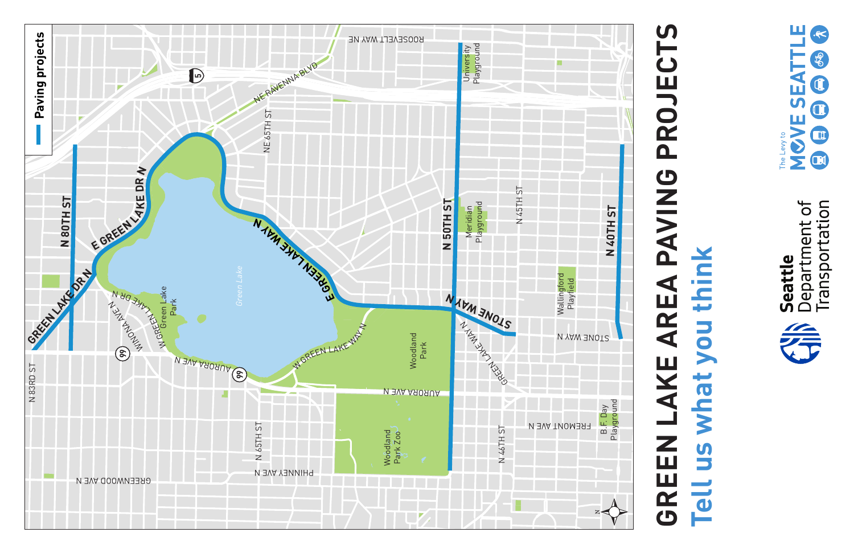



# **PROJECTS GREEN LAKE AREA PAVING PROJECTS** GREEN LAKE AREA PAVING **Tell us what you think**us what you think **Tell**